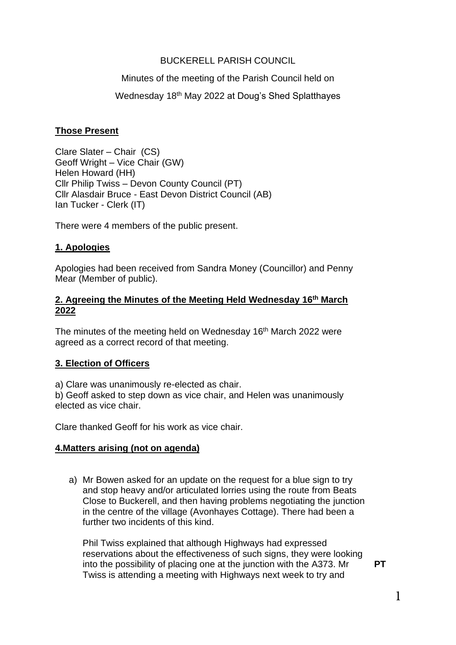### BUCKERELL PARISH COUNCIL

#### Minutes of the meeting of the Parish Council held on

#### Wednesday 18<sup>th</sup> May 2022 at Doug's Shed Splatthayes

#### **Those Present**

Clare Slater – Chair (CS) Geoff Wright – Vice Chair (GW) Helen Howard (HH) Cllr Philip Twiss – Devon County Council (PT) Cllr Alasdair Bruce - East Devon District Council (AB) Ian Tucker - Clerk (IT)

There were 4 members of the public present.

#### **1. Apologies**

Apologies had been received from Sandra Money (Councillor) and Penny Mear (Member of public).

#### **2. Agreeing the Minutes of the Meeting Held Wednesday 16th March 2022**

The minutes of the meeting held on Wednesday 16<sup>th</sup> March 2022 were agreed as a correct record of that meeting.

#### **3. Election of Officers**

a) Clare was unanimously re-elected as chair.

b) Geoff asked to step down as vice chair, and Helen was unanimously elected as vice chair.

Clare thanked Geoff for his work as vice chair.

#### **4.Matters arising (not on agenda)**

a) Mr Bowen asked for an update on the request for a blue sign to try and stop heavy and/or articulated lorries using the route from Beats Close to Buckerell, and then having problems negotiating the junction in the centre of the village (Avonhayes Cottage). There had been a further two incidents of this kind.

Phil Twiss explained that although Highways had expressed reservations about the effectiveness of such signs, they were looking into the possibility of placing one at the junction with the A373. Mr Twiss is attending a meeting with Highways next week to try and

**PT**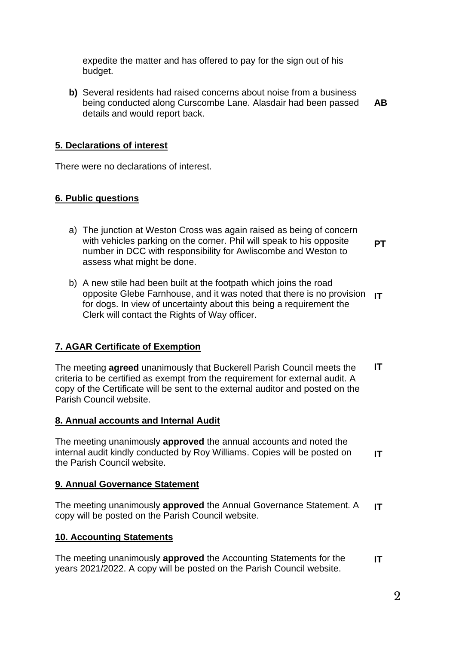expedite the matter and has offered to pay for the sign out of his budget.

**b)** Several residents had raised concerns about noise from a business being conducted along Curscombe Lane. Alasdair had been passed details and would report back. **AB**

### **5. Declarations of interest**

There were no declarations of interest.

#### **6. Public questions**

- a) The junction at Weston Cross was again raised as being of concern with vehicles parking on the corner. Phil will speak to his opposite number in DCC with responsibility for Awliscombe and Weston to assess what might be done.
	- **PT**
- b) A new stile had been built at the footpath which joins the road opposite Glebe Farnhouse, and it was noted that there is no provision **IT** for dogs. In view of uncertainty about this being a requirement the Clerk will contact the Rights of Way officer.

## **7. AGAR Certificate of Exemption**

The meeting **agreed** unanimously that Buckerell Parish Council meets the criteria to be certified as exempt from the requirement for external audit. A copy of the Certificate will be sent to the external auditor and posted on the Parish Council website. **IT**

#### **8. Annual accounts and Internal Audit**

The meeting unanimously **approved** the annual accounts and noted the internal audit kindly conducted by Roy Williams. Copies will be posted on the Parish Council website. **IT**

#### **9. Annual Governance Statement**

The meeting unanimously **approved** the Annual Governance Statement. A copy will be posted on the Parish Council website. **IT**

#### **10. Accounting Statements**

The meeting unanimously **approved** the Accounting Statements for the years 2021/2022. A copy will be posted on the Parish Council website. **IT**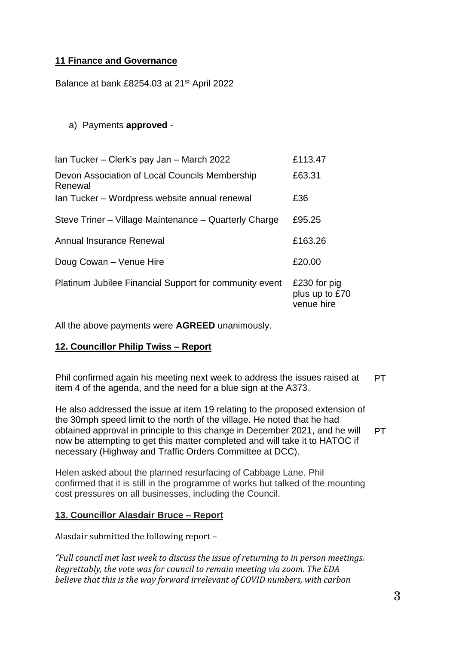# **11 Finance and Governance**

Balance at bank £8254.03 at 21<sup>st</sup> April 2022

## a) Payments **approved** -

| Ian Tucker - Clerk's pay Jan - March 2022                 | £113.47                                      |
|-----------------------------------------------------------|----------------------------------------------|
| Devon Association of Local Councils Membership<br>Renewal | £63.31                                       |
| Ian Tucker - Wordpress website annual renewal             | £36                                          |
| Steve Triner – Village Maintenance – Quarterly Charge     | £95.25                                       |
| Annual Insurance Renewal                                  | £163.26                                      |
| Doug Cowan - Venue Hire                                   | £20.00                                       |
| Platinum Jubilee Financial Support for community event    | £230 for pig<br>plus up to £70<br>venue hire |

All the above payments were **AGREED** unanimously.

## **12. Councillor Philip Twiss – Report**

Phil confirmed again his meeting next week to address the issues raised at item 4 of the agenda, and the need for a blue sign at the A373. **PT** 

He also addressed the issue at item 19 relating to the proposed extension of the 30mph speed limit to the north of the village. He noted that he had obtained approval in principle to this change in December 2021, and he will now be attempting to get this matter completed and will take it to HATOC if necessary (Highway and Traffic Orders Committee at DCC). PT.

Helen asked about the planned resurfacing of Cabbage Lane. Phil confirmed that it is still in the programme of works but talked of the mounting cost pressures on all businesses, including the Council.

## **13. Councillor Alasdair Bruce – Report**

Alasdair submitted the following report –

*"Full council met last week to discuss the issue of returning to in person meetings. Regrettably, the vote was for council to remain meeting via zoom. The EDA believe that this is the way forward irrelevant of COVID numbers, with carbon*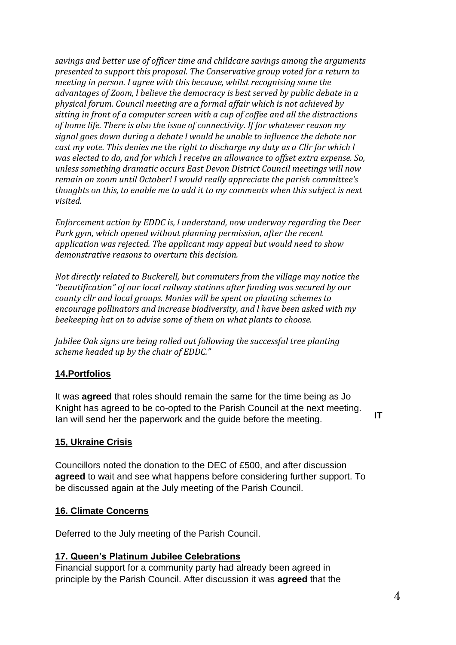*savings and better use of officer time and childcare savings among the arguments presented to support this proposal. The Conservative group voted for a return to meeting in person. I agree with this because, whilst recognising some the advantages of Zoom, l believe the democracy is best served by public debate in a physical forum. Council meeting are a formal affair which is not achieved by sitting in front of a computer screen with a cup of coffee and all the distractions of home life. There is also the issue of connectivity. If for whatever reason my signal goes down during a debate l would be unable to influence the debate nor cast my vote. This denies me the right to discharge my duty as a Cllr for which l was elected to do, and for which l receive an allowance to offset extra expense. So, unless something dramatic occurs East Devon District Council meetings will now remain on zoom until October! I would really appreciate the parish committee's thoughts on this, to enable me to add it to my comments when this subject is next visited.*

*Enforcement action by EDDC is, l understand, now underway regarding the Deer Park gym, which opened without planning permission, after the recent application was rejected. The applicant may appeal but would need to show demonstrative reasons to overturn this decision.*

*Not directly related to Buckerell, but commuters from the village may notice the "beautification" of our local railway stations after funding was secured by our county cllr and local groups. Monies will be spent on planting schemes to encourage pollinators and increase biodiversity, and l have been asked with my beekeeping hat on to advise some of them on what plants to choose.*

*Jubilee Oak signs are being rolled out following the successful tree planting scheme headed up by the chair of EDDC."*

## **14.Portfolios**

It was **agreed** that roles should remain the same for the time being as Jo Knight has agreed to be co-opted to the Parish Council at the next meeting. Ian will send her the paperwork and the guide before the meeting.

# **15, Ukraine Crisis**

Councillors noted the donation to the DEC of £500, and after discussion **agreed** to wait and see what happens before considering further support. To be discussed again at the July meeting of the Parish Council.

## **16. Climate Concerns**

Deferred to the July meeting of the Parish Council.

## **17. Queen's Platinum Jubilee Celebrations**

Financial support for a community party had already been agreed in principle by the Parish Council. After discussion it was **agreed** that the **IT**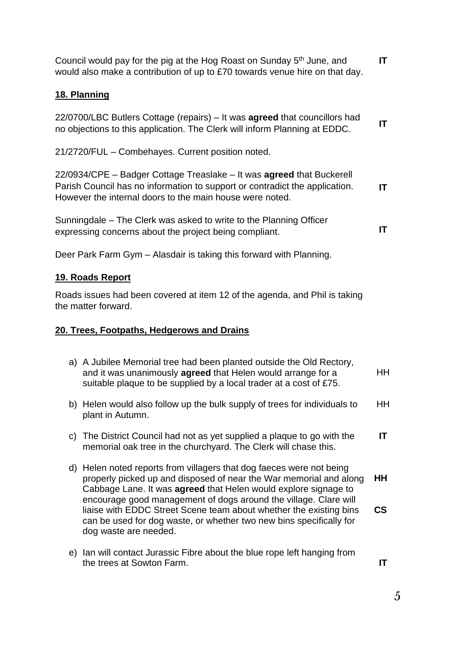**IT**

| 21/2720/FUL - Combehayes. Current position noted.                                                                                                                                                                |    |
|------------------------------------------------------------------------------------------------------------------------------------------------------------------------------------------------------------------|----|
| 22/0934/CPE - Badger Cottage Treaslake - It was agreed that Buckerell<br>Parish Council has no information to support or contradict the application.<br>However the internal doors to the main house were noted. | IT |
| Sunningdale – The Clerk was asked to write to the Planning Officer<br>expressing concerns about the project being compliant.                                                                                     | ΙT |
| Deer Park Farm Gym - Alasdair is taking this forward with Planning.                                                                                                                                              |    |
| <u>19. Roads Report</u>                                                                                                                                                                                          |    |
| Roads issues had been covered at item 12 of the agenda, and Phil is taking<br>the matter forward.                                                                                                                |    |
| 20. Trees, Footpaths, Hedgerows and Drains                                                                                                                                                                       |    |
| a) A Jubilee Memorial tree had been planted outside the Old Rectory,<br>and it was unanimously agreed that Helen would arrange for a<br>suitable plaque to be supplied by a local trader at a cost of £75.       | HH |
| b) Helen would also follow up the bulk supply of trees for individuals to<br>plant in Autumn.                                                                                                                    | ΗH |
| The District Council had not as yet supplied a plaque to go with the<br>C)<br>memorial oak tree in the churchyard. The Clerk will chase this.                                                                    | ΙT |

- d) Helen noted reports from villagers that dog faeces were not being properly picked up and disposed of near the War memorial and along Cabbage Lane. It was **agreed** that Helen would explore signage to encourage good management of dogs around the village. Clare will liaise with EDDC Street Scene team about whether the existing bins can be used for dog waste, or whether two new bins specifically for dog waste are needed. **HH CS**
- e) Ian will contact Jurassic Fibre about the blue rope left hanging from the trees at Sowton Farm.

Council would pay for the pig at the Hog Roast on Sunday 5<sup>th</sup> June, and would also make a contribution of up to £70 towards venue hire on that day. **IT**

# **18. Planning**

22/0700/LBC Butlers Cottage (repairs) – It was **agreed** that councillors had no objections to this application. The Clerk will inform Planning at EDDC. **IT**